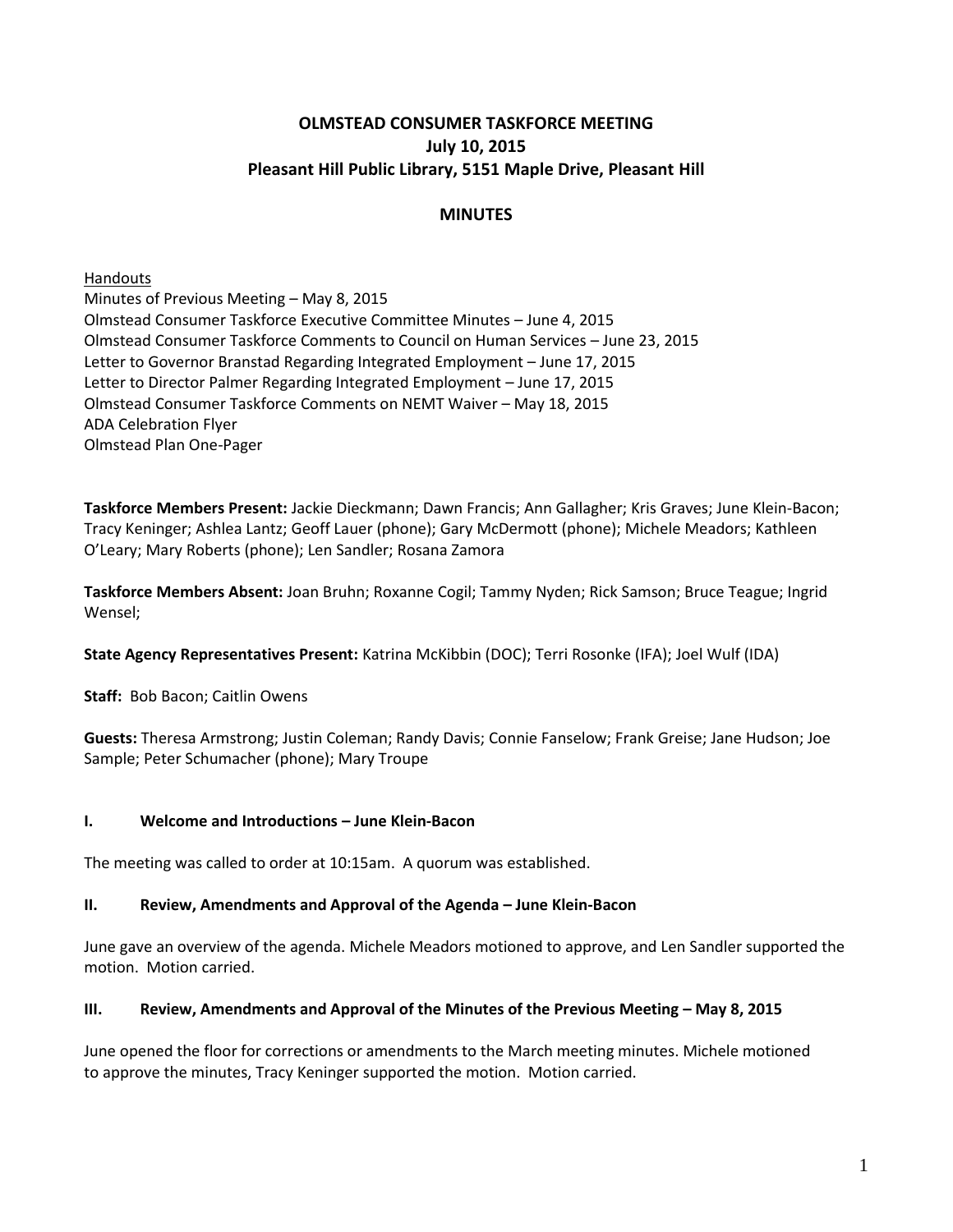# **OLMSTEAD CONSUMER TASKFORCE MEETING July 10, 2015 Pleasant Hill Public Library, 5151 Maple Drive, Pleasant Hill**

# **MINUTES**

Handouts Minutes of Previous Meeting – May 8, 2015 Olmstead Consumer Taskforce Executive Committee Minutes – June 4, 2015 Olmstead Consumer Taskforce Comments to Council on Human Services – June 23, 2015 Letter to Governor Branstad Regarding Integrated Employment – June 17, 2015 Letter to Director Palmer Regarding Integrated Employment – June 17, 2015 Olmstead Consumer Taskforce Comments on NEMT Waiver – May 18, 2015 ADA Celebration Flyer Olmstead Plan One-Pager

**Taskforce Members Present:** Jackie Dieckmann; Dawn Francis; Ann Gallagher; Kris Graves; June Klein-Bacon; Tracy Keninger; Ashlea Lantz; Geoff Lauer (phone); Gary McDermott (phone); Michele Meadors; Kathleen O'Leary; Mary Roberts (phone); Len Sandler; Rosana Zamora

**Taskforce Members Absent:** Joan Bruhn; Roxanne Cogil; Tammy Nyden; Rick Samson; Bruce Teague; Ingrid Wensel;

**State Agency Representatives Present:** Katrina McKibbin (DOC); Terri Rosonke (IFA); Joel Wulf (IDA)

**Staff:** Bob Bacon; Caitlin Owens

**Guests:** Theresa Armstrong; Justin Coleman; Randy Davis; Connie Fanselow; Frank Greise; Jane Hudson; Joe Sample; Peter Schumacher (phone); Mary Troupe

#### **I. Welcome and Introductions – June Klein-Bacon**

The meeting was called to order at 10:15am. A quorum was established.

#### **II. Review, Amendments and Approval of the Agenda – June Klein-Bacon**

June gave an overview of the agenda. Michele Meadors motioned to approve, and Len Sandler supported the motion. Motion carried.

#### **III.** Review, Amendments and Approval of the Minutes of the Previous Meeting – May 8, 2015

June opened the floor for corrections or amendments to the March meeting minutes. Michele motioned to approve the minutes, Tracy Keninger supported the motion. Motion carried.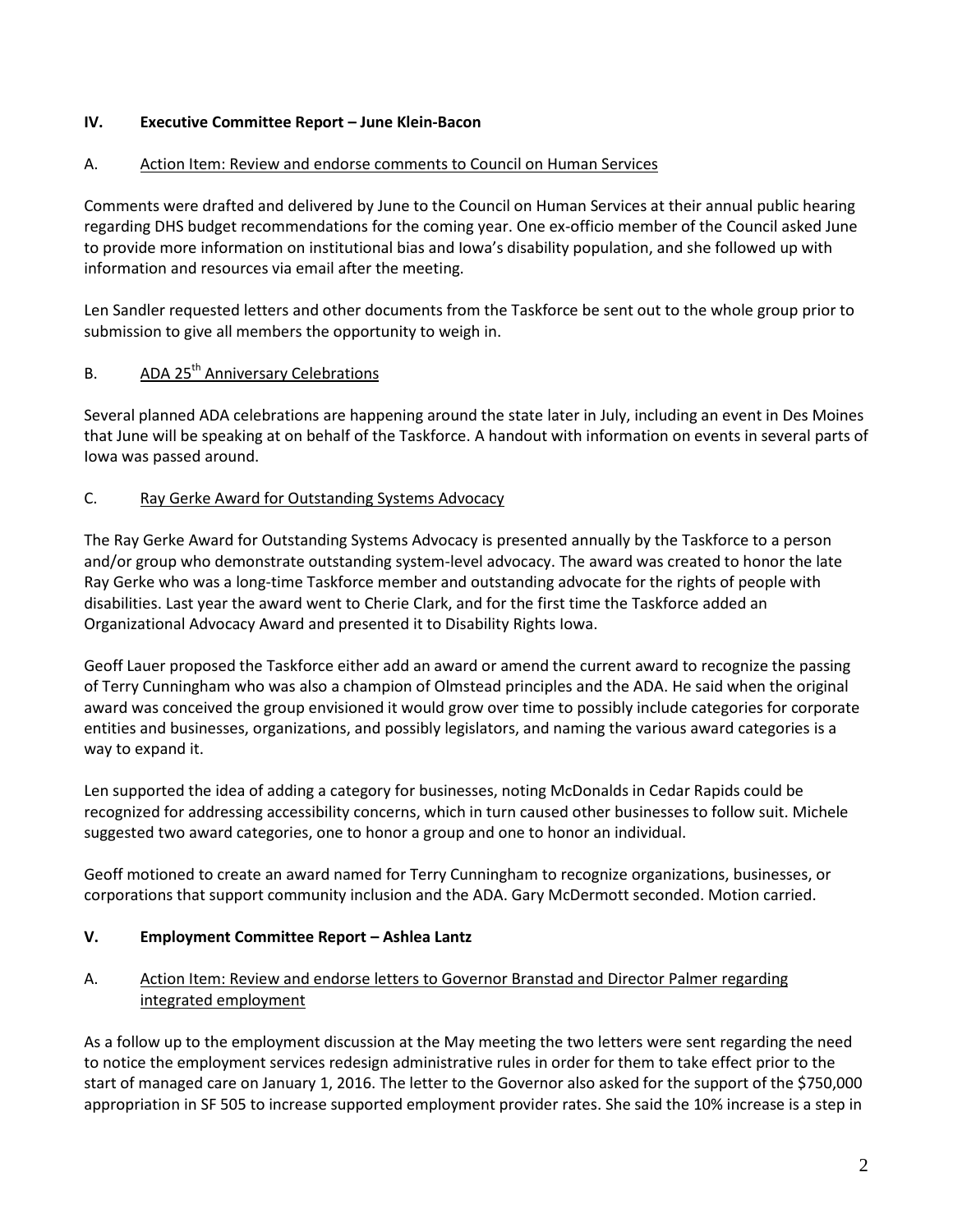# **IV. Executive Committee Report – June Klein-Bacon**

#### A. Action Item: Review and endorse comments to Council on Human Services

Comments were drafted and delivered by June to the Council on Human Services at their annual public hearing regarding DHS budget recommendations for the coming year. One ex-officio member of the Council asked June to provide more information on institutional bias and Iowa's disability population, and she followed up with information and resources via email after the meeting.

Len Sandler requested letters and other documents from the Taskforce be sent out to the whole group prior to submission to give all members the opportunity to weigh in.

# B. ADA 25<sup>th</sup> Anniversary Celebrations

Several planned ADA celebrations are happening around the state later in July, including an event in Des Moines that June will be speaking at on behalf of the Taskforce. A handout with information on events in several parts of Iowa was passed around.

#### C. Ray Gerke Award for Outstanding Systems Advocacy

The Ray Gerke Award for Outstanding Systems Advocacy is presented annually by the Taskforce to a person and/or group who demonstrate outstanding system-level advocacy. The award was created to honor the late Ray Gerke who was a long-time Taskforce member and outstanding advocate for the rights of people with disabilities. Last year the award went to Cherie Clark, and for the first time the Taskforce added an Organizational Advocacy Award and presented it to Disability Rights Iowa.

Geoff Lauer proposed the Taskforce either add an award or amend the current award to recognize the passing of Terry Cunningham who was also a champion of Olmstead principles and the ADA. He said when the original award was conceived the group envisioned it would grow over time to possibly include categories for corporate entities and businesses, organizations, and possibly legislators, and naming the various award categories is a way to expand it.

Len supported the idea of adding a category for businesses, noting McDonalds in Cedar Rapids could be recognized for addressing accessibility concerns, which in turn caused other businesses to follow suit. Michele suggested two award categories, one to honor a group and one to honor an individual.

Geoff motioned to create an award named for Terry Cunningham to recognize organizations, businesses, or corporations that support community inclusion and the ADA. Gary McDermott seconded. Motion carried.

#### **V. Employment Committee Report – Ashlea Lantz**

# A. Action Item: Review and endorse letters to Governor Branstad and Director Palmer regarding integrated employment

As a follow up to the employment discussion at the May meeting the two letters were sent regarding the need to notice the employment services redesign administrative rules in order for them to take effect prior to the start of managed care on January 1, 2016. The letter to the Governor also asked for the support of the \$750,000 appropriation in SF 505 to increase supported employment provider rates. She said the 10% increase is a step in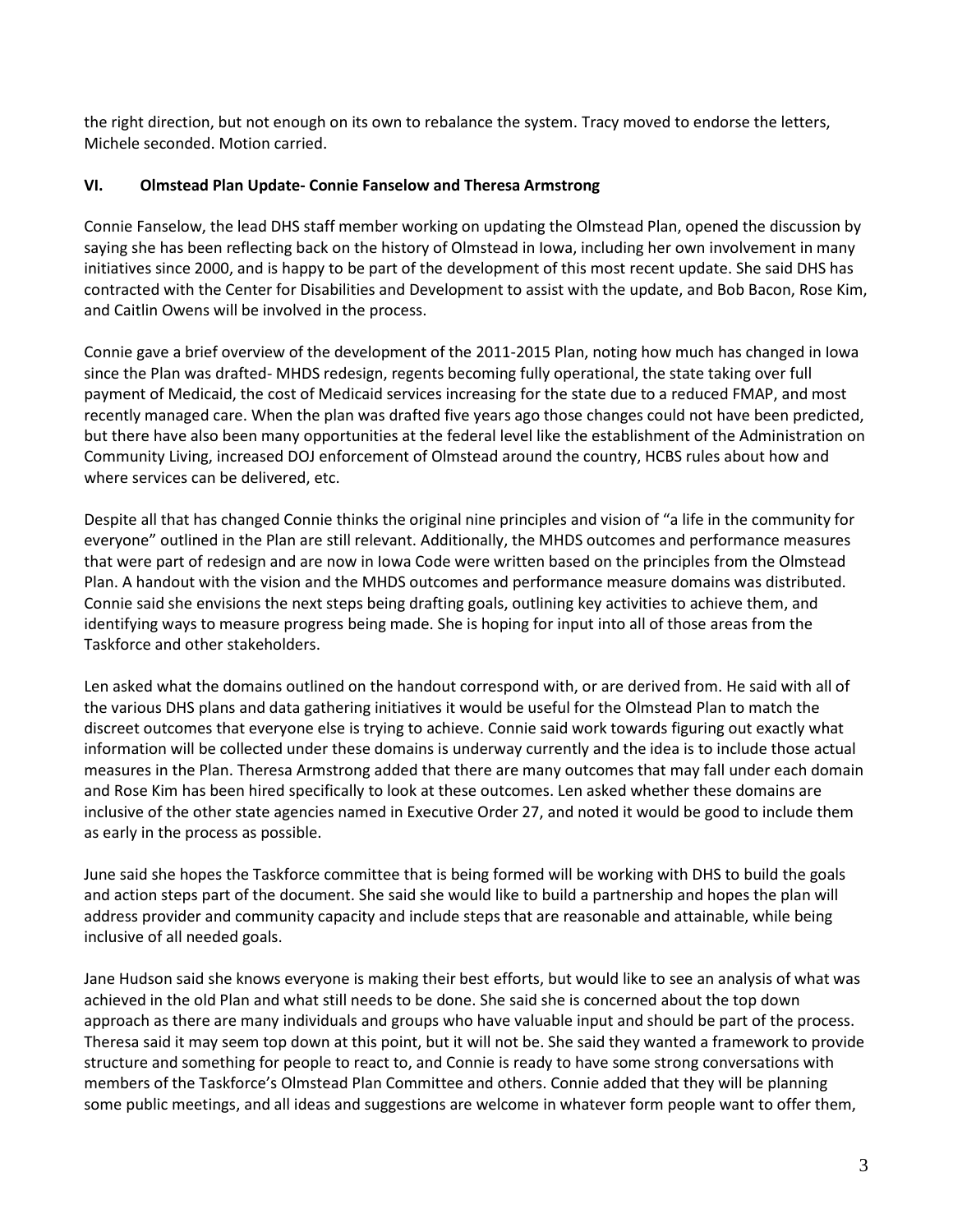the right direction, but not enough on its own to rebalance the system. Tracy moved to endorse the letters, Michele seconded. Motion carried.

#### **VI. Olmstead Plan Update- Connie Fanselow and Theresa Armstrong**

Connie Fanselow, the lead DHS staff member working on updating the Olmstead Plan, opened the discussion by saying she has been reflecting back on the history of Olmstead in Iowa, including her own involvement in many initiatives since 2000, and is happy to be part of the development of this most recent update. She said DHS has contracted with the Center for Disabilities and Development to assist with the update, and Bob Bacon, Rose Kim, and Caitlin Owens will be involved in the process.

Connie gave a brief overview of the development of the 2011-2015 Plan, noting how much has changed in Iowa since the Plan was drafted- MHDS redesign, regents becoming fully operational, the state taking over full payment of Medicaid, the cost of Medicaid services increasing for the state due to a reduced FMAP, and most recently managed care. When the plan was drafted five years ago those changes could not have been predicted, but there have also been many opportunities at the federal level like the establishment of the Administration on Community Living, increased DOJ enforcement of Olmstead around the country, HCBS rules about how and where services can be delivered, etc.

Despite all that has changed Connie thinks the original nine principles and vision of "a life in the community for everyone" outlined in the Plan are still relevant. Additionally, the MHDS outcomes and performance measures that were part of redesign and are now in Iowa Code were written based on the principles from the Olmstead Plan. A handout with the vision and the MHDS outcomes and performance measure domains was distributed. Connie said she envisions the next steps being drafting goals, outlining key activities to achieve them, and identifying ways to measure progress being made. She is hoping for input into all of those areas from the Taskforce and other stakeholders.

Len asked what the domains outlined on the handout correspond with, or are derived from. He said with all of the various DHS plans and data gathering initiatives it would be useful for the Olmstead Plan to match the discreet outcomes that everyone else is trying to achieve. Connie said work towards figuring out exactly what information will be collected under these domains is underway currently and the idea is to include those actual measures in the Plan. Theresa Armstrong added that there are many outcomes that may fall under each domain and Rose Kim has been hired specifically to look at these outcomes. Len asked whether these domains are inclusive of the other state agencies named in Executive Order 27, and noted it would be good to include them as early in the process as possible.

June said she hopes the Taskforce committee that is being formed will be working with DHS to build the goals and action steps part of the document. She said she would like to build a partnership and hopes the plan will address provider and community capacity and include steps that are reasonable and attainable, while being inclusive of all needed goals.

Jane Hudson said she knows everyone is making their best efforts, but would like to see an analysis of what was achieved in the old Plan and what still needs to be done. She said she is concerned about the top down approach as there are many individuals and groups who have valuable input and should be part of the process. Theresa said it may seem top down at this point, but it will not be. She said they wanted a framework to provide structure and something for people to react to, and Connie is ready to have some strong conversations with members of the Taskforce's Olmstead Plan Committee and others. Connie added that they will be planning some public meetings, and all ideas and suggestions are welcome in whatever form people want to offer them,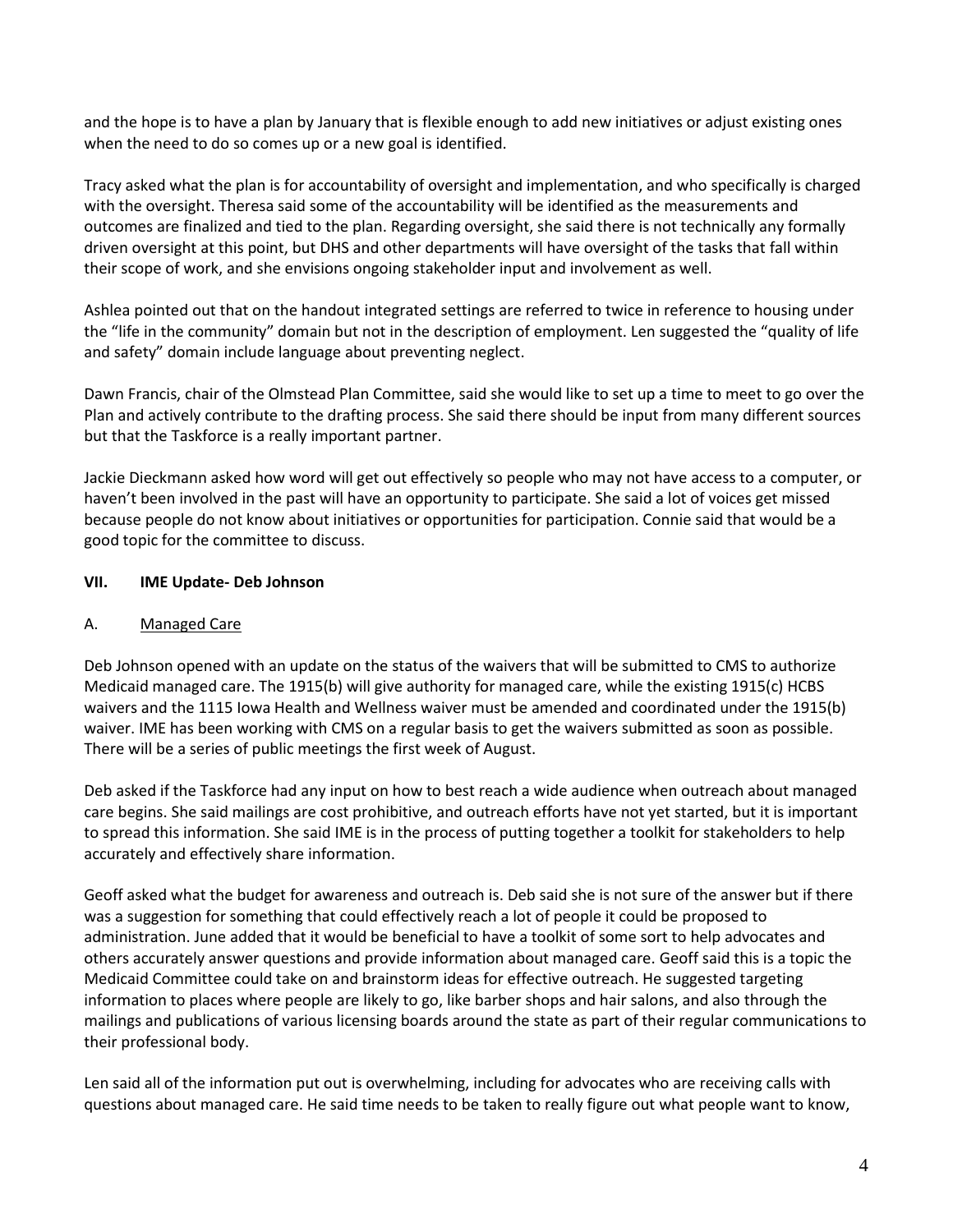and the hope is to have a plan by January that is flexible enough to add new initiatives or adjust existing ones when the need to do so comes up or a new goal is identified.

Tracy asked what the plan is for accountability of oversight and implementation, and who specifically is charged with the oversight. Theresa said some of the accountability will be identified as the measurements and outcomes are finalized and tied to the plan. Regarding oversight, she said there is not technically any formally driven oversight at this point, but DHS and other departments will have oversight of the tasks that fall within their scope of work, and she envisions ongoing stakeholder input and involvement as well.

Ashlea pointed out that on the handout integrated settings are referred to twice in reference to housing under the "life in the community" domain but not in the description of employment. Len suggested the "quality of life and safety" domain include language about preventing neglect.

Dawn Francis, chair of the Olmstead Plan Committee, said she would like to set up a time to meet to go over the Plan and actively contribute to the drafting process. She said there should be input from many different sources but that the Taskforce is a really important partner.

Jackie Dieckmann asked how word will get out effectively so people who may not have access to a computer, or haven't been involved in the past will have an opportunity to participate. She said a lot of voices get missed because people do not know about initiatives or opportunities for participation. Connie said that would be a good topic for the committee to discuss.

#### **VII. IME Update- Deb Johnson**

#### A. Managed Care

Deb Johnson opened with an update on the status of the waivers that will be submitted to CMS to authorize Medicaid managed care. The 1915(b) will give authority for managed care, while the existing 1915(c) HCBS waivers and the 1115 Iowa Health and Wellness waiver must be amended and coordinated under the 1915(b) waiver. IME has been working with CMS on a regular basis to get the waivers submitted as soon as possible. There will be a series of public meetings the first week of August.

Deb asked if the Taskforce had any input on how to best reach a wide audience when outreach about managed care begins. She said mailings are cost prohibitive, and outreach efforts have not yet started, but it is important to spread this information. She said IME is in the process of putting together a toolkit for stakeholders to help accurately and effectively share information.

Geoff asked what the budget for awareness and outreach is. Deb said she is not sure of the answer but if there was a suggestion for something that could effectively reach a lot of people it could be proposed to administration. June added that it would be beneficial to have a toolkit of some sort to help advocates and others accurately answer questions and provide information about managed care. Geoff said this is a topic the Medicaid Committee could take on and brainstorm ideas for effective outreach. He suggested targeting information to places where people are likely to go, like barber shops and hair salons, and also through the mailings and publications of various licensing boards around the state as part of their regular communications to their professional body.

Len said all of the information put out is overwhelming, including for advocates who are receiving calls with questions about managed care. He said time needs to be taken to really figure out what people want to know,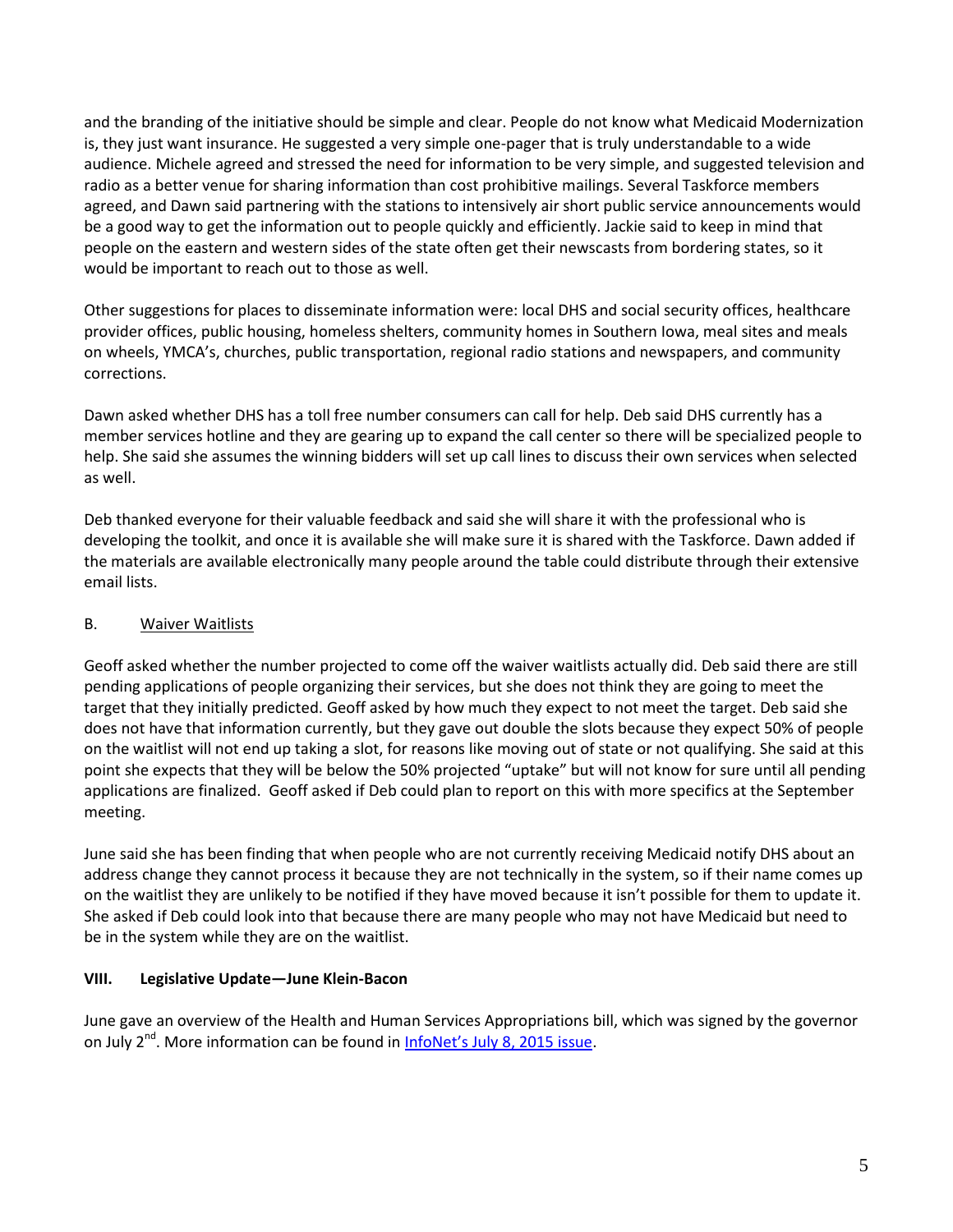and the branding of the initiative should be simple and clear. People do not know what Medicaid Modernization is, they just want insurance. He suggested a very simple one-pager that is truly understandable to a wide audience. Michele agreed and stressed the need for information to be very simple, and suggested television and radio as a better venue for sharing information than cost prohibitive mailings. Several Taskforce members agreed, and Dawn said partnering with the stations to intensively air short public service announcements would be a good way to get the information out to people quickly and efficiently. Jackie said to keep in mind that people on the eastern and western sides of the state often get their newscasts from bordering states, so it would be important to reach out to those as well.

Other suggestions for places to disseminate information were: local DHS and social security offices, healthcare provider offices, public housing, homeless shelters, community homes in Southern Iowa, meal sites and meals on wheels, YMCA's, churches, public transportation, regional radio stations and newspapers, and community corrections.

Dawn asked whether DHS has a toll free number consumers can call for help. Deb said DHS currently has a member services hotline and they are gearing up to expand the call center so there will be specialized people to help. She said she assumes the winning bidders will set up call lines to discuss their own services when selected as well.

Deb thanked everyone for their valuable feedback and said she will share it with the professional who is developing the toolkit, and once it is available she will make sure it is shared with the Taskforce. Dawn added if the materials are available electronically many people around the table could distribute through their extensive email lists.

# B. Waiver Waitlists

Geoff asked whether the number projected to come off the waiver waitlists actually did. Deb said there are still pending applications of people organizing their services, but she does not think they are going to meet the target that they initially predicted. Geoff asked by how much they expect to not meet the target. Deb said she does not have that information currently, but they gave out double the slots because they expect 50% of people on the waitlist will not end up taking a slot, for reasons like moving out of state or not qualifying. She said at this point she expects that they will be below the 50% projected "uptake" but will not know for sure until all pending applications are finalized. Geoff asked if Deb could plan to report on this with more specifics at the September meeting.

June said she has been finding that when people who are not currently receiving Medicaid notify DHS about an address change they cannot process it because they are not technically in the system, so if their name comes up on the waitlist they are unlikely to be notified if they have moved because it isn't possible for them to update it. She asked if Deb could look into that because there are many people who may not have Medicaid but need to be in the system while they are on the waitlist.

#### **VIII. Legislative Update—June Klein-Bacon**

June gave an overview of the Health and Human Services Appropriations bill, which was signed by the governor on July 2<sup>nd</sup>. More information can be found in **[InfoNet's July 8, 2015 issue](http://www.infonetiowa.org/news/newsletters/2015-issue-9/)**.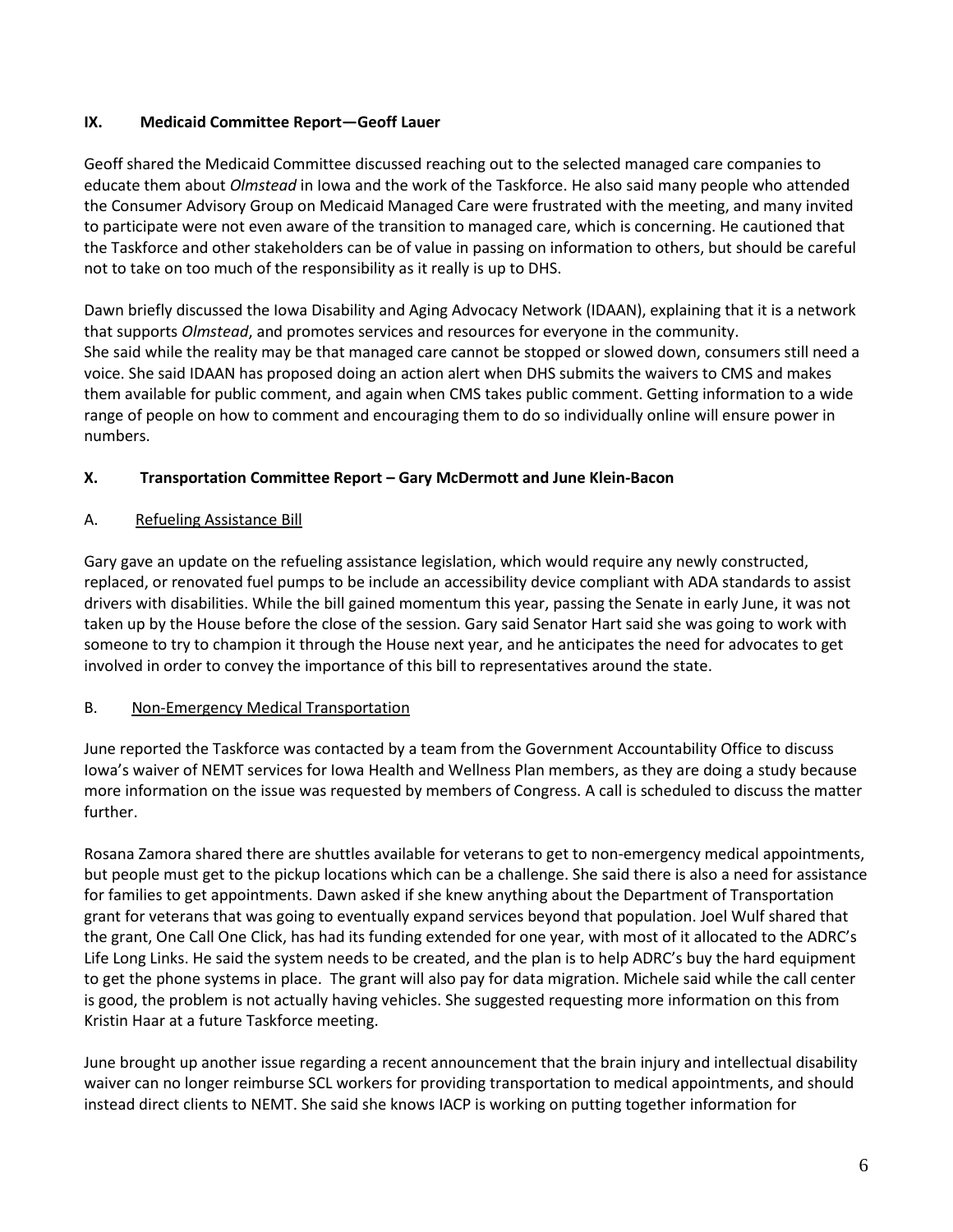# **IX. Medicaid Committee Report—Geoff Lauer**

Geoff shared the Medicaid Committee discussed reaching out to the selected managed care companies to educate them about *Olmstead* in Iowa and the work of the Taskforce. He also said many people who attended the Consumer Advisory Group on Medicaid Managed Care were frustrated with the meeting, and many invited to participate were not even aware of the transition to managed care, which is concerning. He cautioned that the Taskforce and other stakeholders can be of value in passing on information to others, but should be careful not to take on too much of the responsibility as it really is up to DHS.

Dawn briefly discussed the Iowa Disability and Aging Advocacy Network (IDAAN), explaining that it is a network that supports *Olmstead*, and promotes services and resources for everyone in the community. She said while the reality may be that managed care cannot be stopped or slowed down, consumers still need a voice. She said IDAAN has proposed doing an action alert when DHS submits the waivers to CMS and makes them available for public comment, and again when CMS takes public comment. Getting information to a wide range of people on how to comment and encouraging them to do so individually online will ensure power in numbers.

# **X. Transportation Committee Report – Gary McDermott and June Klein-Bacon**

#### A. Refueling Assistance Bill

Gary gave an update on the refueling assistance legislation, which would require any newly constructed, replaced, or renovated fuel pumps to be include an accessibility device compliant with ADA standards to assist drivers with disabilities. While the bill gained momentum this year, passing the Senate in early June, it was not taken up by the House before the close of the session. Gary said Senator Hart said she was going to work with someone to try to champion it through the House next year, and he anticipates the need for advocates to get involved in order to convey the importance of this bill to representatives around the state.

# B. Non-Emergency Medical Transportation

June reported the Taskforce was contacted by a team from the Government Accountability Office to discuss Iowa's waiver of NEMT services for Iowa Health and Wellness Plan members, as they are doing a study because more information on the issue was requested by members of Congress. A call is scheduled to discuss the matter further.

Rosana Zamora shared there are shuttles available for veterans to get to non-emergency medical appointments, but people must get to the pickup locations which can be a challenge. She said there is also a need for assistance for families to get appointments. Dawn asked if she knew anything about the Department of Transportation grant for veterans that was going to eventually expand services beyond that population. Joel Wulf shared that the grant, One Call One Click, has had its funding extended for one year, with most of it allocated to the ADRC's Life Long Links. He said the system needs to be created, and the plan is to help ADRC's buy the hard equipment to get the phone systems in place. The grant will also pay for data migration. Michele said while the call center is good, the problem is not actually having vehicles. She suggested requesting more information on this from Kristin Haar at a future Taskforce meeting.

June brought up another issue regarding a recent announcement that the brain injury and intellectual disability waiver can no longer reimburse SCL workers for providing transportation to medical appointments, and should instead direct clients to NEMT. She said she knows IACP is working on putting together information for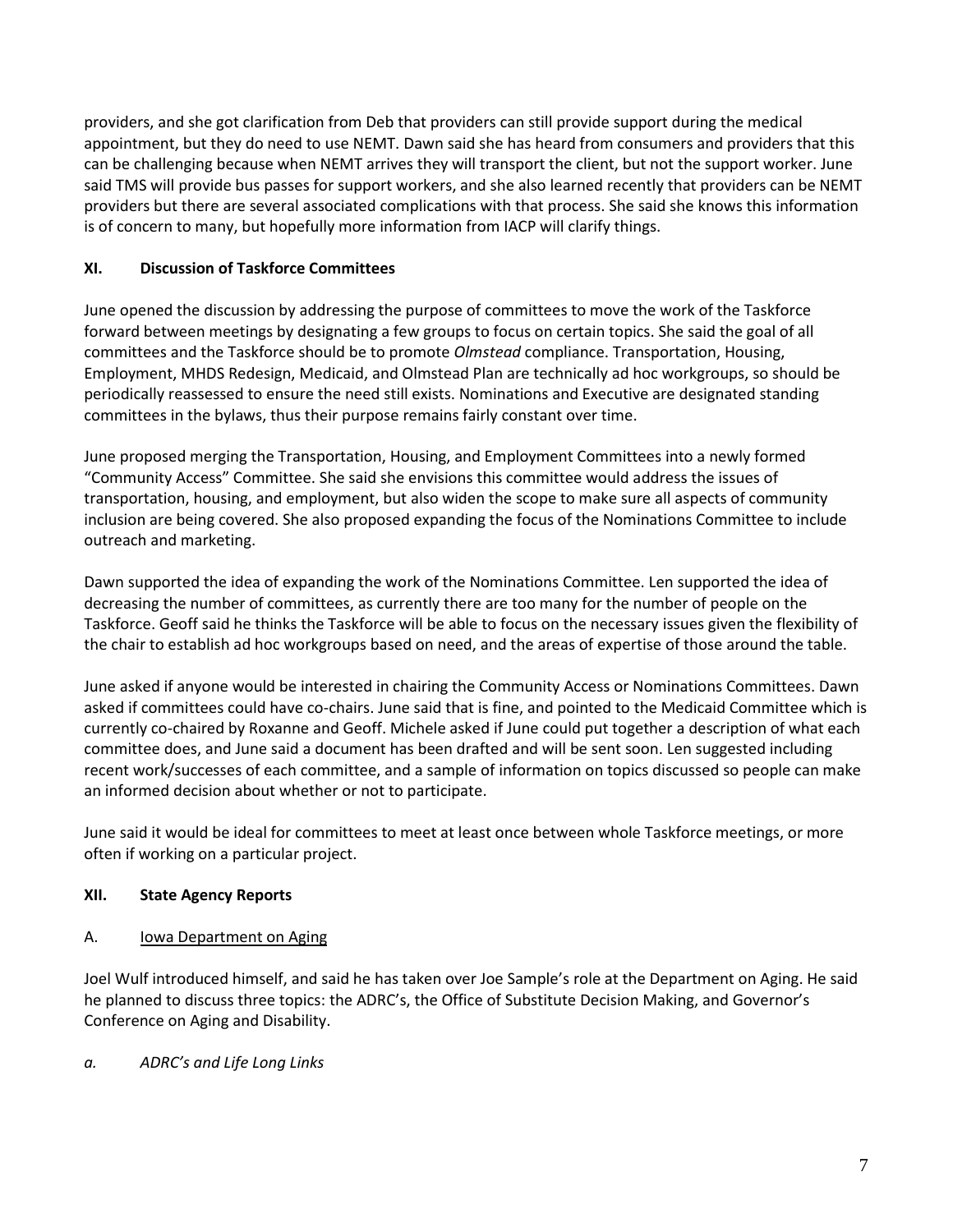providers, and she got clarification from Deb that providers can still provide support during the medical appointment, but they do need to use NEMT. Dawn said she has heard from consumers and providers that this can be challenging because when NEMT arrives they will transport the client, but not the support worker. June said TMS will provide bus passes for support workers, and she also learned recently that providers can be NEMT providers but there are several associated complications with that process. She said she knows this information is of concern to many, but hopefully more information from IACP will clarify things.

# **XI. Discussion of Taskforce Committees**

June opened the discussion by addressing the purpose of committees to move the work of the Taskforce forward between meetings by designating a few groups to focus on certain topics. She said the goal of all committees and the Taskforce should be to promote *Olmstead* compliance. Transportation, Housing, Employment, MHDS Redesign, Medicaid, and Olmstead Plan are technically ad hoc workgroups, so should be periodically reassessed to ensure the need still exists. Nominations and Executive are designated standing committees in the bylaws, thus their purpose remains fairly constant over time.

June proposed merging the Transportation, Housing, and Employment Committees into a newly formed "Community Access" Committee. She said she envisions this committee would address the issues of transportation, housing, and employment, but also widen the scope to make sure all aspects of community inclusion are being covered. She also proposed expanding the focus of the Nominations Committee to include outreach and marketing.

Dawn supported the idea of expanding the work of the Nominations Committee. Len supported the idea of decreasing the number of committees, as currently there are too many for the number of people on the Taskforce. Geoff said he thinks the Taskforce will be able to focus on the necessary issues given the flexibility of the chair to establish ad hoc workgroups based on need, and the areas of expertise of those around the table.

June asked if anyone would be interested in chairing the Community Access or Nominations Committees. Dawn asked if committees could have co-chairs. June said that is fine, and pointed to the Medicaid Committee which is currently co-chaired by Roxanne and Geoff. Michele asked if June could put together a description of what each committee does, and June said a document has been drafted and will be sent soon. Len suggested including recent work/successes of each committee, and a sample of information on topics discussed so people can make an informed decision about whether or not to participate.

June said it would be ideal for committees to meet at least once between whole Taskforce meetings, or more often if working on a particular project.

# **XII. State Agency Reports**

A. Iowa Department on Aging

Joel Wulf introduced himself, and said he has taken over Joe Sample's role at the Department on Aging. He said he planned to discuss three topics: the ADRC's, the Office of Substitute Decision Making, and Governor's Conference on Aging and Disability.

# *a. ADRC's and Life Long Links*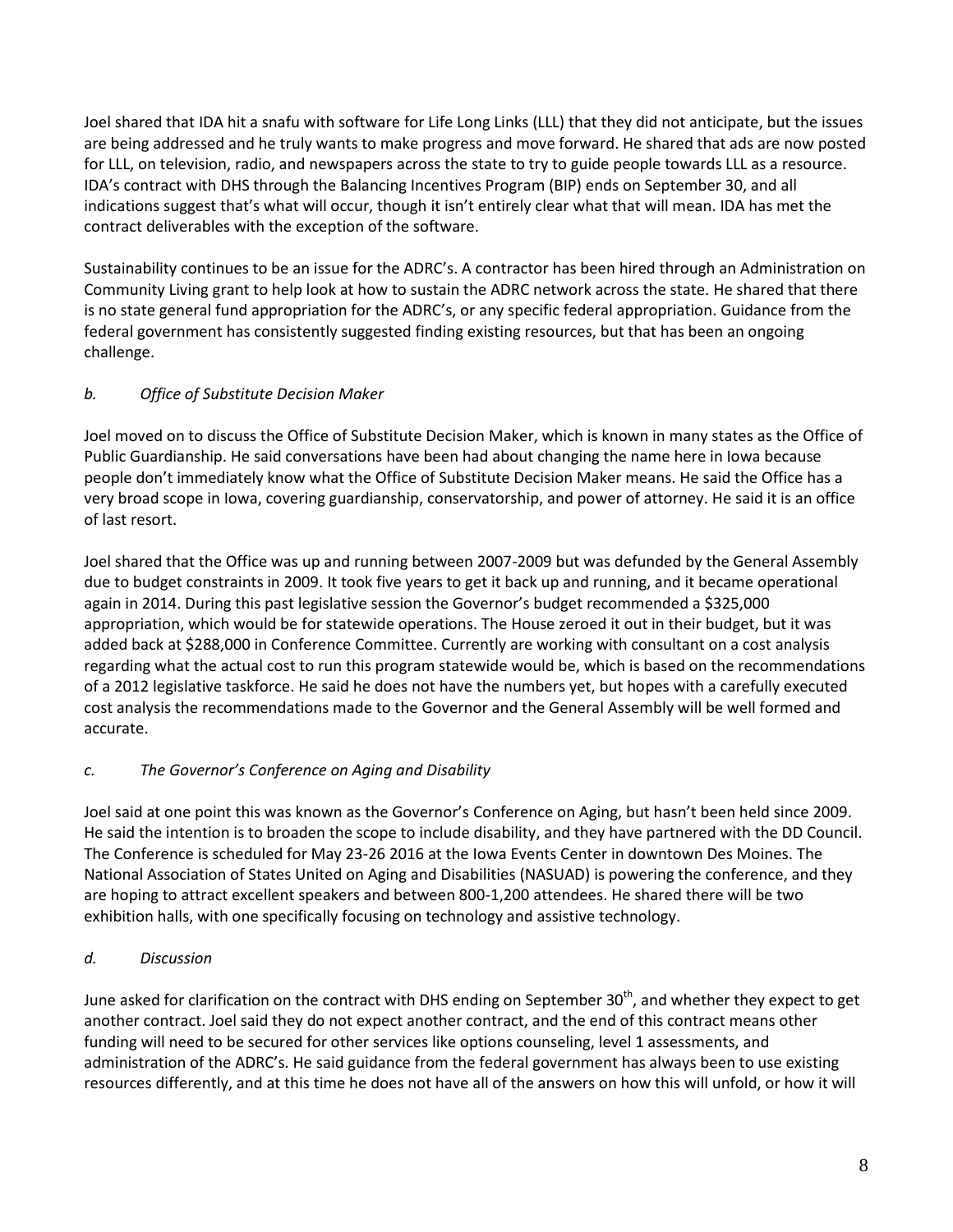Joel shared that IDA hit a snafu with software for Life Long Links (LLL) that they did not anticipate, but the issues are being addressed and he truly wants to make progress and move forward. He shared that ads are now posted for LLL, on television, radio, and newspapers across the state to try to guide people towards LLL as a resource. IDA's contract with DHS through the Balancing Incentives Program (BIP) ends on September 30, and all indications suggest that's what will occur, though it isn't entirely clear what that will mean. IDA has met the contract deliverables with the exception of the software.

Sustainability continues to be an issue for the ADRC's. A contractor has been hired through an Administration on Community Living grant to help look at how to sustain the ADRC network across the state. He shared that there is no state general fund appropriation for the ADRC's, or any specific federal appropriation. Guidance from the federal government has consistently suggested finding existing resources, but that has been an ongoing challenge.

# *b. Office of Substitute Decision Maker*

Joel moved on to discuss the Office of Substitute Decision Maker, which is known in many states as the Office of Public Guardianship. He said conversations have been had about changing the name here in Iowa because people don't immediately know what the Office of Substitute Decision Maker means. He said the Office has a very broad scope in Iowa, covering guardianship, conservatorship, and power of attorney. He said it is an office of last resort.

Joel shared that the Office was up and running between 2007-2009 but was defunded by the General Assembly due to budget constraints in 2009. It took five years to get it back up and running, and it became operational again in 2014. During this past legislative session the Governor's budget recommended a \$325,000 appropriation, which would be for statewide operations. The House zeroed it out in their budget, but it was added back at \$288,000 in Conference Committee. Currently are working with consultant on a cost analysis regarding what the actual cost to run this program statewide would be, which is based on the recommendations of a 2012 legislative taskforce. He said he does not have the numbers yet, but hopes with a carefully executed cost analysis the recommendations made to the Governor and the General Assembly will be well formed and accurate.

# *c. The Governor's Conference on Aging and Disability*

Joel said at one point this was known as the Governor's Conference on Aging, but hasn't been held since 2009. He said the intention is to broaden the scope to include disability, and they have partnered with the DD Council. The Conference is scheduled for May 23-26 2016 at the Iowa Events Center in downtown Des Moines. The National Association of States United on Aging and Disabilities (NASUAD) is powering the conference, and they are hoping to attract excellent speakers and between 800-1,200 attendees. He shared there will be two exhibition halls, with one specifically focusing on technology and assistive technology.

# *d. Discussion*

June asked for clarification on the contract with DHS ending on September 30<sup>th</sup>, and whether they expect to get another contract. Joel said they do not expect another contract, and the end of this contract means other funding will need to be secured for other services like options counseling, level 1 assessments, and administration of the ADRC's. He said guidance from the federal government has always been to use existing resources differently, and at this time he does not have all of the answers on how this will unfold, or how it will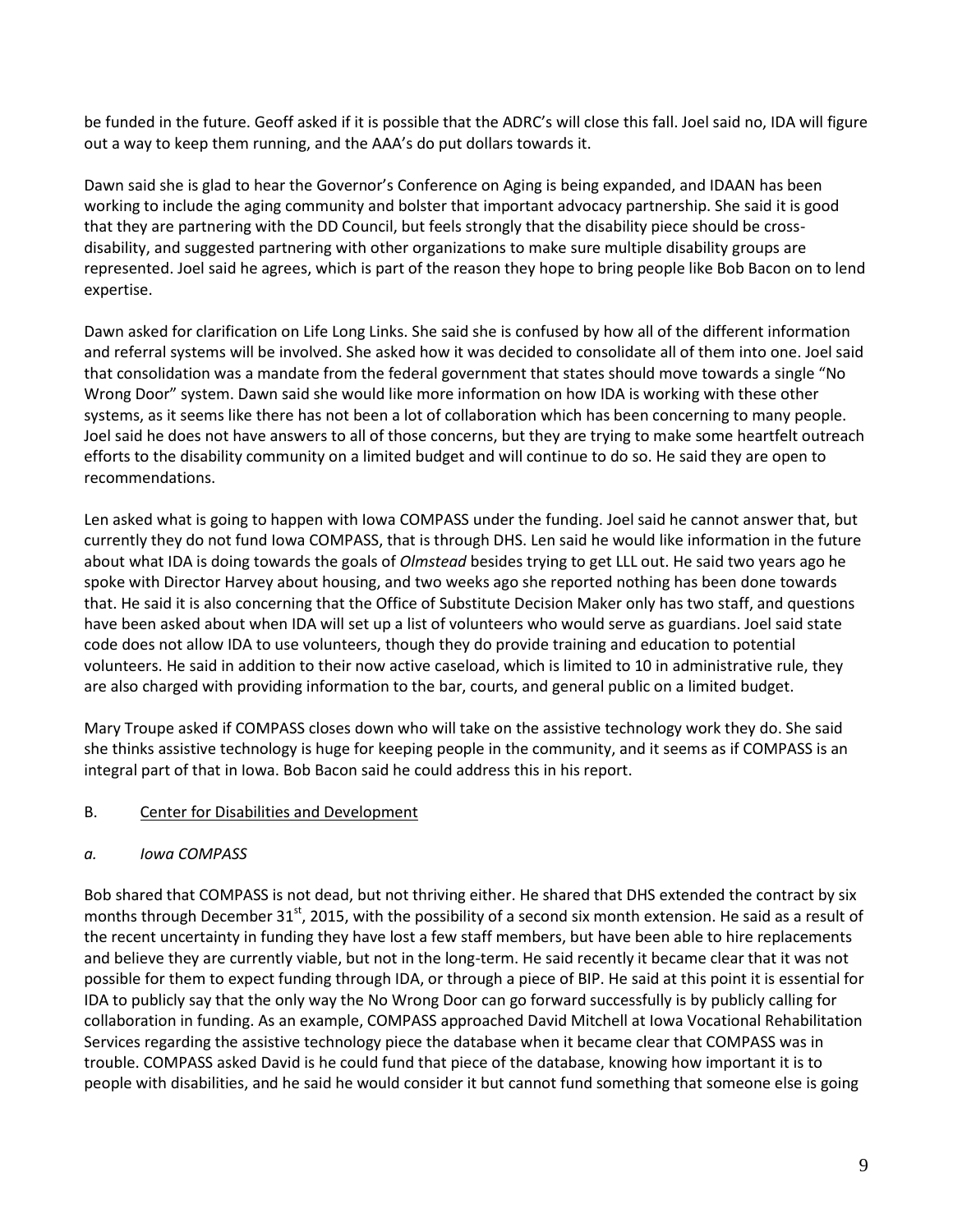be funded in the future. Geoff asked if it is possible that the ADRC's will close this fall. Joel said no, IDA will figure out a way to keep them running, and the AAA's do put dollars towards it.

Dawn said she is glad to hear the Governor's Conference on Aging is being expanded, and IDAAN has been working to include the aging community and bolster that important advocacy partnership. She said it is good that they are partnering with the DD Council, but feels strongly that the disability piece should be crossdisability, and suggested partnering with other organizations to make sure multiple disability groups are represented. Joel said he agrees, which is part of the reason they hope to bring people like Bob Bacon on to lend expertise.

Dawn asked for clarification on Life Long Links. She said she is confused by how all of the different information and referral systems will be involved. She asked how it was decided to consolidate all of them into one. Joel said that consolidation was a mandate from the federal government that states should move towards a single "No Wrong Door" system. Dawn said she would like more information on how IDA is working with these other systems, as it seems like there has not been a lot of collaboration which has been concerning to many people. Joel said he does not have answers to all of those concerns, but they are trying to make some heartfelt outreach efforts to the disability community on a limited budget and will continue to do so. He said they are open to recommendations.

Len asked what is going to happen with Iowa COMPASS under the funding. Joel said he cannot answer that, but currently they do not fund Iowa COMPASS, that is through DHS. Len said he would like information in the future about what IDA is doing towards the goals of *Olmstead* besides trying to get LLL out. He said two years ago he spoke with Director Harvey about housing, and two weeks ago she reported nothing has been done towards that. He said it is also concerning that the Office of Substitute Decision Maker only has two staff, and questions have been asked about when IDA will set up a list of volunteers who would serve as guardians. Joel said state code does not allow IDA to use volunteers, though they do provide training and education to potential volunteers. He said in addition to their now active caseload, which is limited to 10 in administrative rule, they are also charged with providing information to the bar, courts, and general public on a limited budget.

Mary Troupe asked if COMPASS closes down who will take on the assistive technology work they do. She said she thinks assistive technology is huge for keeping people in the community, and it seems as if COMPASS is an integral part of that in Iowa. Bob Bacon said he could address this in his report.

# B. Center for Disabilities and Development

#### *a. Iowa COMPASS*

Bob shared that COMPASS is not dead, but not thriving either. He shared that DHS extended the contract by six months through December 31<sup>st</sup>, 2015, with the possibility of a second six month extension. He said as a result of the recent uncertainty in funding they have lost a few staff members, but have been able to hire replacements and believe they are currently viable, but not in the long-term. He said recently it became clear that it was not possible for them to expect funding through IDA, or through a piece of BIP. He said at this point it is essential for IDA to publicly say that the only way the No Wrong Door can go forward successfully is by publicly calling for collaboration in funding. As an example, COMPASS approached David Mitchell at Iowa Vocational Rehabilitation Services regarding the assistive technology piece the database when it became clear that COMPASS was in trouble. COMPASS asked David is he could fund that piece of the database, knowing how important it is to people with disabilities, and he said he would consider it but cannot fund something that someone else is going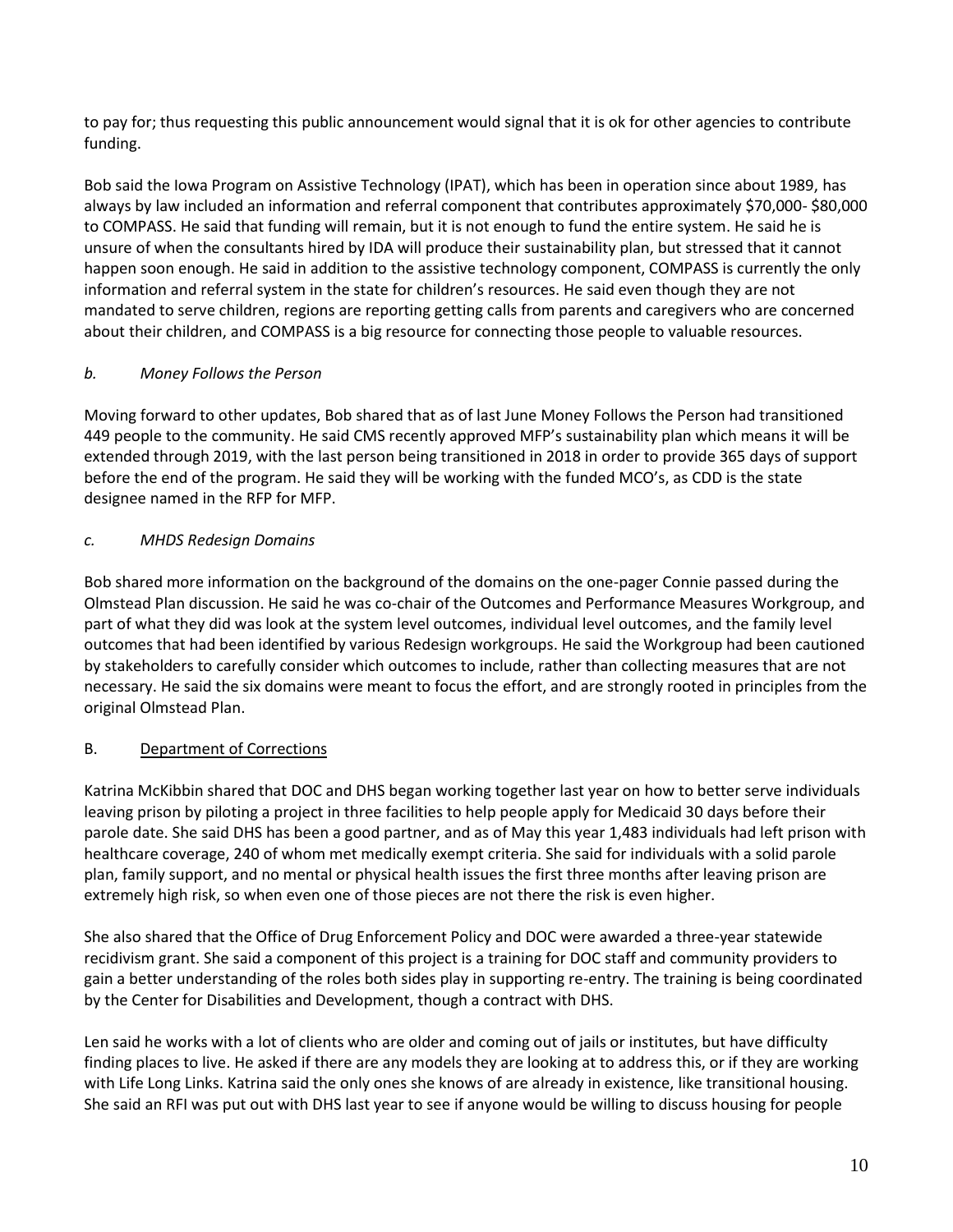to pay for; thus requesting this public announcement would signal that it is ok for other agencies to contribute funding.

Bob said the Iowa Program on Assistive Technology (IPAT), which has been in operation since about 1989, has always by law included an information and referral component that contributes approximately \$70,000- \$80,000 to COMPASS. He said that funding will remain, but it is not enough to fund the entire system. He said he is unsure of when the consultants hired by IDA will produce their sustainability plan, but stressed that it cannot happen soon enough. He said in addition to the assistive technology component, COMPASS is currently the only information and referral system in the state for children's resources. He said even though they are not mandated to serve children, regions are reporting getting calls from parents and caregivers who are concerned about their children, and COMPASS is a big resource for connecting those people to valuable resources.

# *b. Money Follows the Person*

Moving forward to other updates, Bob shared that as of last June Money Follows the Person had transitioned 449 people to the community. He said CMS recently approved MFP's sustainability plan which means it will be extended through 2019, with the last person being transitioned in 2018 in order to provide 365 days of support before the end of the program. He said they will be working with the funded MCO's, as CDD is the state designee named in the RFP for MFP.

# *c. MHDS Redesign Domains*

Bob shared more information on the background of the domains on the one-pager Connie passed during the Olmstead Plan discussion. He said he was co-chair of the Outcomes and Performance Measures Workgroup, and part of what they did was look at the system level outcomes, individual level outcomes, and the family level outcomes that had been identified by various Redesign workgroups. He said the Workgroup had been cautioned by stakeholders to carefully consider which outcomes to include, rather than collecting measures that are not necessary. He said the six domains were meant to focus the effort, and are strongly rooted in principles from the original Olmstead Plan.

# B. Department of Corrections

Katrina McKibbin shared that DOC and DHS began working together last year on how to better serve individuals leaving prison by piloting a project in three facilities to help people apply for Medicaid 30 days before their parole date. She said DHS has been a good partner, and as of May this year 1,483 individuals had left prison with healthcare coverage, 240 of whom met medically exempt criteria. She said for individuals with a solid parole plan, family support, and no mental or physical health issues the first three months after leaving prison are extremely high risk, so when even one of those pieces are not there the risk is even higher.

She also shared that the Office of Drug Enforcement Policy and DOC were awarded a three-year statewide recidivism grant. She said a component of this project is a training for DOC staff and community providers to gain a better understanding of the roles both sides play in supporting re-entry. The training is being coordinated by the Center for Disabilities and Development, though a contract with DHS.

Len said he works with a lot of clients who are older and coming out of jails or institutes, but have difficulty finding places to live. He asked if there are any models they are looking at to address this, or if they are working with Life Long Links. Katrina said the only ones she knows of are already in existence, like transitional housing. She said an RFI was put out with DHS last year to see if anyone would be willing to discuss housing for people